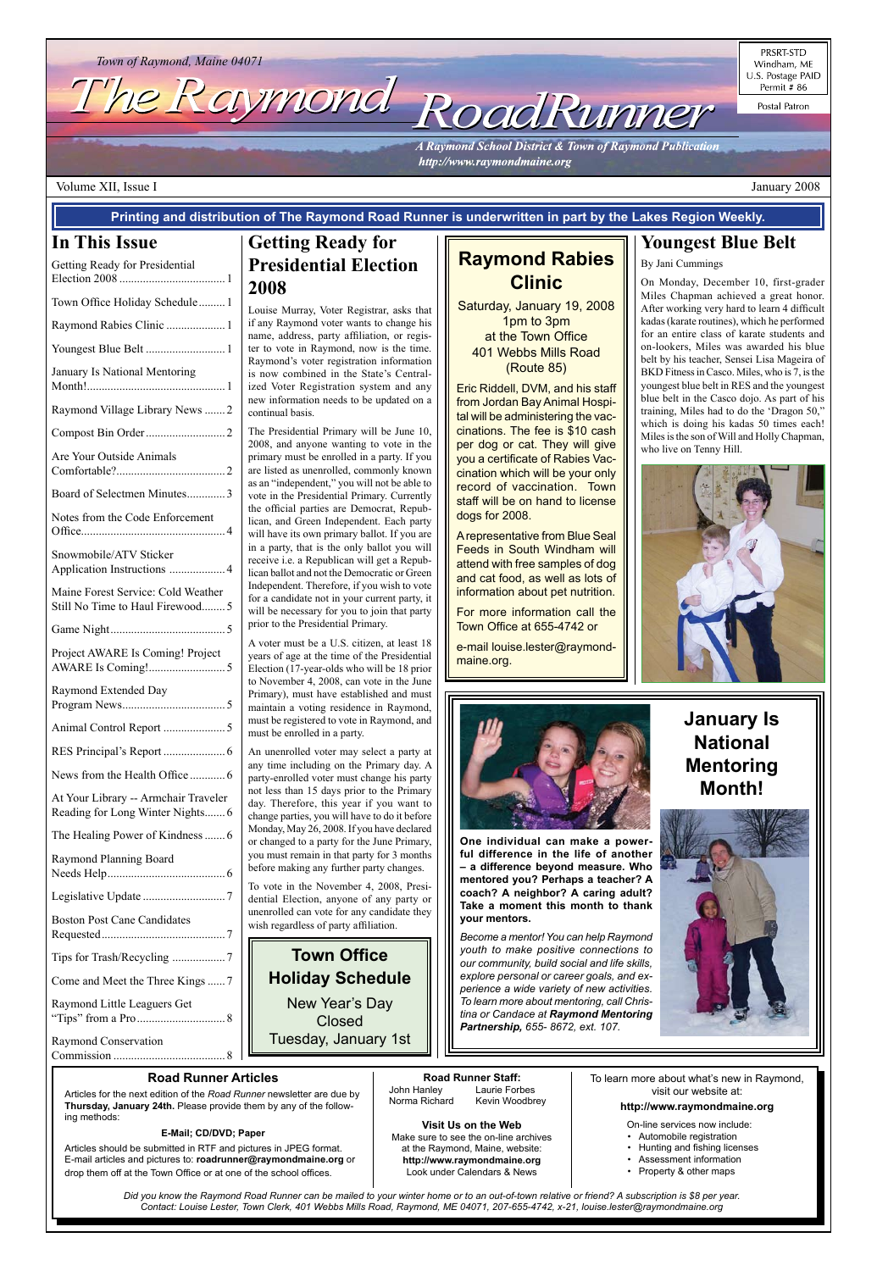

PRSRT-STD Windham, ME U.S. Postage PAID Permit # 86

Postal Patron

**A Raymond School District & Town of Raymond Publication** http://www.raymondmaine.org

**Visit Us on the Web** Make sure to see the on-line archives at the Raymond, Maine, website: **http://www.raymondmaine.org** Look under Calendars & News

#### **Road Runner Articles**

Articles for the next edition of the *Road Runner* newsletter are due by **Thursday, January 24th.** Please provide them by any of the following methods:

#### **E-Mail; CD/DVD; Paper**

Articles should be submitted in RTF and pictures in JPEG format. E-mail articles and pictures to: **roadrunner@raymondmaine.org** or drop them off at the Town Office or at one of the school offices.

**Road Runner Staff:**<br>John Hanley Laurie Fort Laurie Forbes Norma Richard Kevin Woodbrey To learn more about what's new in Raymond, visit our website at:

**http://www.raymondmaine.org**

On-line services now include:

- Automobile registration
- Hunting and fishing licenses
- Assessment information
- Property & other maps

#### Volume XII, Issue I January 2008

*Did you know the Raymond Road Runner can be mailed to your winter home or to an out-of-town relative or friend? A subscription is \$8 per year. Contact: Louise Lester, Town Clerk, 401 Webbs Mills Road, Raymond, ME 04071, 207-655-4742, x-21, louise.lester@raymondmaine.org*

#### **In This Issue**

| Getting Ready for Presidential                                           |
|--------------------------------------------------------------------------|
| Town Office Holiday Schedule 1                                           |
| Raymond Rabies Clinic  1                                                 |
|                                                                          |
| January Is National Mentoring                                            |
| Raymond Village Library News  2                                          |
|                                                                          |
| Are Your Outside Animals                                                 |
| Board of Selectmen Minutes3                                              |
| Notes from the Code Enforcement                                          |
| Snowmobile/ATV Sticker<br>Application Instructions  4                    |
| Maine Forest Service: Cold Weather<br>Still No Time to Haul Firewood5    |
|                                                                          |
| Project AWARE Is Coming! Project                                         |
| Raymond Extended Day                                                     |
|                                                                          |
|                                                                          |
| News from the Health Office  6                                           |
| At Your Library -- Armchair Traveler<br>Reading for Long Winter Nights 6 |
| The Healing Power of Kindness  6                                         |
| Raymond Planning Board                                                   |
|                                                                          |
| <b>Boston Post Cane Candidates</b>                                       |

Tips for Trash/Recycling .................. 7 Come and Meet the Three Kings...... 7 Raymond Little Leaguers Get "Tips" from a Pro.............................. 8 Raymond Conservation

Commission ...................................... 8

**Printing and distribution of The Raymond Road Runner is underwritten in part by the Lakes Region Weekly.**

#### **Town Office**

**Holiday Schedule** New Year's Day Closed Tuesday, January 1st

# **Raymond Rabies Clinic**

Saturday, January 19, 2008 1pm to 3pm at the Town Office 401 Webbs Mills Road (Route 85)

Eric Riddell, DVM, and his staff from Jordan Bay Animal Hospital will be administering the vaccinations. The fee is \$10 cash per dog or cat. They will give you a certificate of Rabies Vaccination which will be your only record of vaccination. Town staff will be on hand to license dogs for 2008.

A representative from Blue Seal Feeds in South Windham will attend with free samples of dog and cat food, as well as lots of information about pet nutrition.

For more information call the Town Office at 655-4742 or

e-mail louise.lester@raymondmaine.org.



### **Youngest Blue Belt**

#### By Jani Cummings

On Monday, December 10, first-grader Miles Chapman achieved a great honor. After working very hard to learn 4 difficult kadas (karate routines), which he performed for an entire class of karate students and on-lookers, Miles was awarded his blue belt by his teacher, Sensei Lisa Mageira of BKD Fitness in Casco. Miles, who is 7, is the youngest blue belt in RES and the youngest blue belt in the Casco dojo. As part of his training, Miles had to do the 'Dragon 50," which is doing his kadas 50 times each! Miles is the son of Will and Holly Chapman, who live on Tenny Hill.







**One individual can make a powerful difference in the life of another – a difference beyond measure. Who mentored you? Perhaps a teacher? A coach? A neighbor? A caring adult? Take a moment this month to thank your mentors.**

*Become a mentor! You can help Raymond youth to make positive connections to our community, build social and life skills,* 

*explore personal or career goals, and experience a wide variety of new activities. To learn more about mentoring, call Christina or Candace at Raymond Mentoring Partnership, 655- 8672, ext. 107.*

### **Getting Ready for Presidential Election 2008**

Louise Murray, Voter Registrar, asks that if any Raymond voter wants to change his name, address, party affiliation, or register to vote in Raymond, now is the time. Raymond's voter registration information is now combined in the State's Centralized Voter Registration system and any new information needs to be updated on a continual basis.

The Presidential Primary will be June 10, 2008, and anyone wanting to vote in the primary must be enrolled in a party. If you are listed as unenrolled, commonly known as an "independent," you will not be able to vote in the Presidential Primary. Currently the official parties are Democrat, Republican, and Green Independent. Each party will have its own primary ballot. If you are in a party, that is the only ballot you will receive i.e. a Republican will get a Republican ballot and not the Democratic or Green Independent. Therefore, if you wish to vote for a candidate not in your current party, it will be necessary for you to join that party prior to the Presidential Primary.

A voter must be a U.S. citizen, at least 18 years of age at the time of the Presidential Election (17-year-olds who will be 18 prior to November 4, 2008, can vote in the June Primary), must have established and must maintain a voting residence in Raymond, must be registered to vote in Raymond, and must be enrolled in a party.

An unenrolled voter may select a party at any time including on the Primary day. A party-enrolled voter must change his party not less than 15 days prior to the Primary day. Therefore, this year if you want to change parties, you will have to do it before Monday, May 26, 2008. If you have declared or changed to a party for the June Primary, you must remain in that party for 3 months before making any further party changes.

To vote in the November 4, 2008, Presidential Election, anyone of any party or unenrolled can vote for any candidate they wish regardless of party affiliation.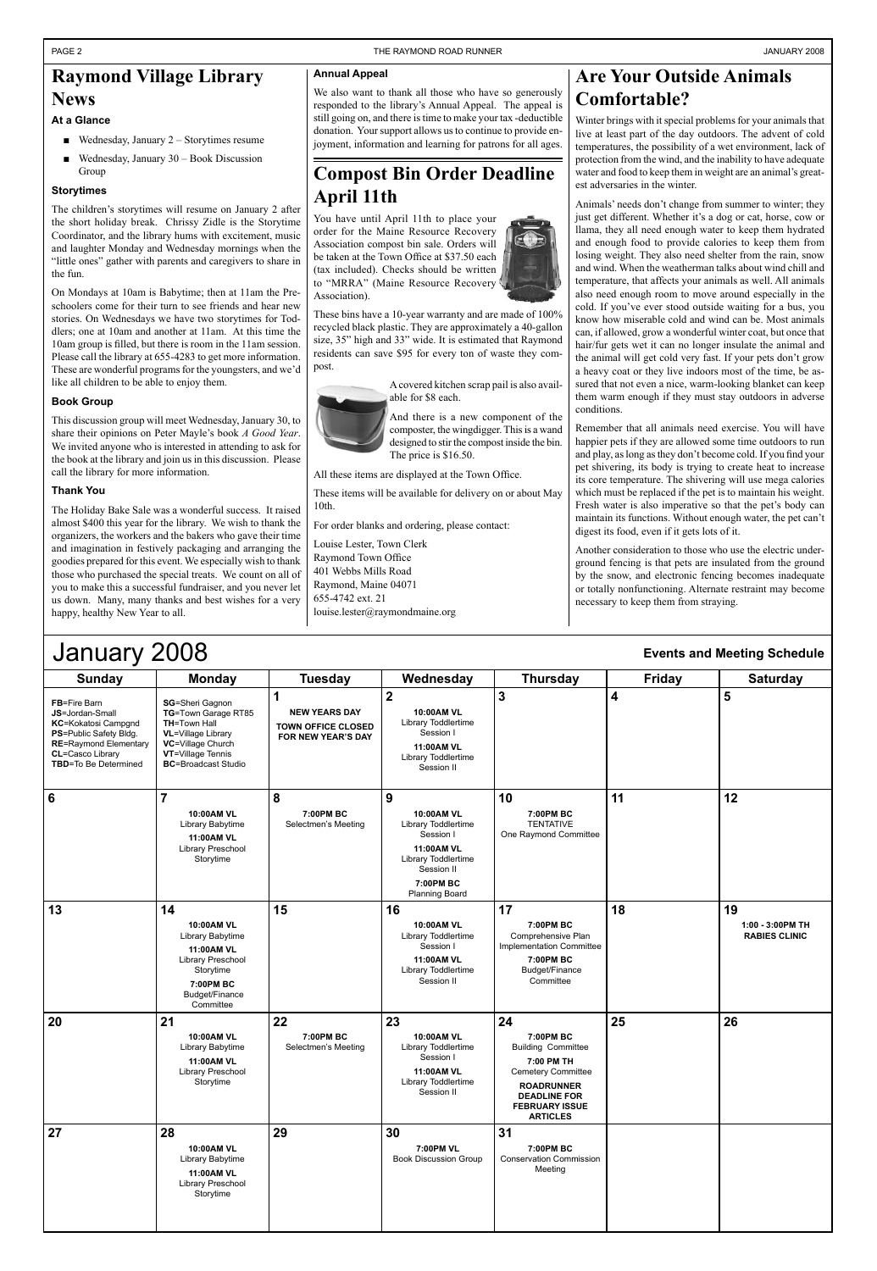| Sunday                                                                                                                                                                     | <b>Monday</b>                                                                                                                                               | <b>Tuesday</b>                                                               | Wednesday                                                                                                                                    | <b>Thursday</b>                                                                                                                                                          | <b>Friday</b> | <b>Saturday</b>                                |
|----------------------------------------------------------------------------------------------------------------------------------------------------------------------------|-------------------------------------------------------------------------------------------------------------------------------------------------------------|------------------------------------------------------------------------------|----------------------------------------------------------------------------------------------------------------------------------------------|--------------------------------------------------------------------------------------------------------------------------------------------------------------------------|---------------|------------------------------------------------|
| FB=Fire Barn<br>JS=Jordan-Small<br><b>KC=Kokatosi Campgnd</b><br>PS=Public Safety Bldg.<br><b>RE=Raymond Elementary</b><br>CL=Casco Library<br><b>TBD=To Be Determined</b> | SG=Sheri Gagnon<br>TG=Town Garage RT85<br>TH=Town Hall<br><b>VL=Village Library</b><br>VC=Village Church<br>VT=Village Tennis<br><b>BC=Broadcast Studio</b> | 1<br><b>NEW YEARS DAY</b><br><b>TOWN OFFICE CLOSED</b><br>FOR NEW YEAR'S DAY | $\boldsymbol{2}$<br>10:00AM VL<br>Library Toddlertime<br>Session I<br>11:00AM VL<br>Library Toddlertime<br>Session II                        | $\overline{3}$                                                                                                                                                           | 4             | 5                                              |
| $6\phantom{1}6$                                                                                                                                                            | $\overline{7}$<br>10:00AM VL<br>Library Babytime<br>11:00AM VL<br>Library Preschool<br>Storytime                                                            | 8<br>7:00PM BC<br>Selectmen's Meeting                                        | 9<br>10:00AM VL<br>Library Toddlertime<br>Session I<br>11:00AM VL<br>Library Toddlertime<br>Session II<br>7:00PM BC<br><b>Planning Board</b> | 10<br>7:00PM BC<br><b>TENTATIVE</b><br>One Raymond Committee                                                                                                             | 11            | 12                                             |
| 13                                                                                                                                                                         | 14<br>10:00AM VL<br>Library Babytime<br>11:00AM VL<br>Library Preschool<br>Storytime<br>7:00 PM BC<br>Budget/Finance<br>Committee                           | 15                                                                           | 16<br>10:00AM VL<br>Library Toddlertime<br>Session I<br>11:00AM VL<br>Library Toddlertime<br>Session II                                      | 17<br>7:00PM BC<br>Comprehensive Plan<br>Implementation Committee<br>7:00PM BC<br>Budget/Finance<br>Committee                                                            | 18            | 19<br>1:00 - 3:00PM TH<br><b>RABIES CLINIC</b> |
| 20                                                                                                                                                                         | 21<br>10:00AM VL<br>Library Babytime<br>11:00AM VL<br>Library Preschool<br>Storytime                                                                        | 22<br>7:00PM BC<br>Selectmen's Meeting                                       | 23<br>10:00AM VL<br>Library Toddlertime<br>Session I<br>11:00AM VL<br>Library Toddlertime<br>Session II                                      | 24<br>7:00PM BC<br><b>Building Committee</b><br>7:00 PM TH<br>Cemetery Committee<br><b>ROADRUNNER</b><br><b>DEADLINE FOR</b><br><b>FEBRUARY ISSUE</b><br><b>ARTICLES</b> | 25            | 26                                             |
| 27                                                                                                                                                                         | 28<br>10:00AM VL<br>Library Babytime<br>11:00AM VL<br>Library Preschool<br>Storytime                                                                        | 29                                                                           | 30<br>7:00PM VL<br><b>Book Discussion Group</b>                                                                                              | 31<br>7:00PM BC<br><b>Conservation Commission</b><br>Meeting                                                                                                             |               |                                                |

- Wednesday, January 2 Storytimes resume
- Wednesday, January 30 Book Discussion Group

# January 2008

#### **Events and Meeting Schedule**

### **Raymond Village Library News**

#### **At a Glance**

#### **Storytimes**

The children's storytimes will resume on January 2 after the short holiday break. Chrissy Zidle is the Storytime Coordinator, and the library hums with excitement, music and laughter Monday and Wednesday mornings when the "little ones" gather with parents and caregivers to share in the fun.

On Mondays at 10am is Babytime; then at 11am the Preschoolers come for their turn to see friends and hear new stories. On Wednesdays we have two storytimes for Toddlers; one at 10am and another at 11am. At this time the 10am group is filled, but there is room in the 11am session. Please call the library at 655-4283 to get more information. These are wonderful programs for the youngsters, and we'd like all children to be able to enjoy them.

#### **Book Group**

This discussion group will meet Wednesday, January 30, to share their opinions on Peter Mayle's book *A Good Year*. We invited anyone who is interested in attending to ask for the book at the library and join us in this discussion. Please call the library for more information.

#### **Thank You**

The Holiday Bake Sale was a wonderful success. It raised almost \$400 this year for the library. We wish to thank the organizers, the workers and the bakers who gave their time and imagination in festively packaging and arranging the goodies prepared for this event. We especially wish to thank those who purchased the special treats. We count on all of you to make this a successful fundraiser, and you never let us down. Many, many thanks and best wishes for a very happy, healthy New Year to all.

#### **Annual Appeal**

We also want to thank all those who have so generously responded to the library's Annual Appeal. The appeal is still going on, and there is time to make your tax -deductible donation. Your support allows us to continue to provide enjoyment, information and learning for patrons for all ages.

### **Compost Bin Order Deadline April 11th**

You have until April 11th to place your order for the Maine Resource Recovery Association compost bin sale. Orders will be taken at the Town Office at \$37.50 each (tax included). Checks should be written to "MRRA" (Maine Resource Recovery Association).





A covered kitchen scrap pail is also available for \$8 each. And there is a new component of the composter, the wingdigger. This is a wand

designed to stir the compost inside the bin. The price is \$16.50.

All these items are displayed at the Town Office.

These items will be available for delivery on or about May 10th.

For order blanks and ordering, please contact:

Louise Lester, Town Clerk Raymond Town Office 401 Webbs Mills Road Raymond, Maine 04071 655-4742 ext. 21 louise.lester@raymondmaine.org

### **Are Your Outside Animals Comfortable?**

Winter brings with it special problems for your animals that live at least part of the day outdoors. The advent of cold temperatures, the possibility of a wet environment, lack of protection from the wind, and the inability to have adequate water and food to keep them in weight are an animal's greatest adversaries in the winter.

Animals' needs don't change from summer to winter; they just get different. Whether it's a dog or cat, horse, cow or llama, they all need enough water to keep them hydrated and enough food to provide calories to keep them from losing weight. They also need shelter from the rain, snow and wind. When the weatherman talks about wind chill and temperature, that affects your animals as well. All animals also need enough room to move around especially in the cold. If you've ever stood outside waiting for a bus, you know how miserable cold and wind can be. Most animals can, if allowed, grow a wonderful winter coat, but once that hair/fur gets wet it can no longer insulate the animal and the animal will get cold very fast. If your pets don't grow a heavy coat or they live indoors most of the time, be assured that not even a nice, warm-looking blanket can keep them warm enough if they must stay outdoors in adverse conditions.

Remember that all animals need exercise. You will have happier pets if they are allowed some time outdoors to run and play, as long as they don't become cold. If you find your pet shivering, its body is trying to create heat to increase its core temperature. The shivering will use mega calories which must be replaced if the pet is to maintain his weight. Fresh water is also imperative so that the pet's body can maintain its functions. Without enough water, the pet can't digest its food, even if it gets lots of it.

Another consideration to those who use the electric underground fencing is that pets are insulated from the ground by the snow, and electronic fencing becomes inadequate or totally nonfunctioning. Alternate restraint may become necessary to keep them from straying.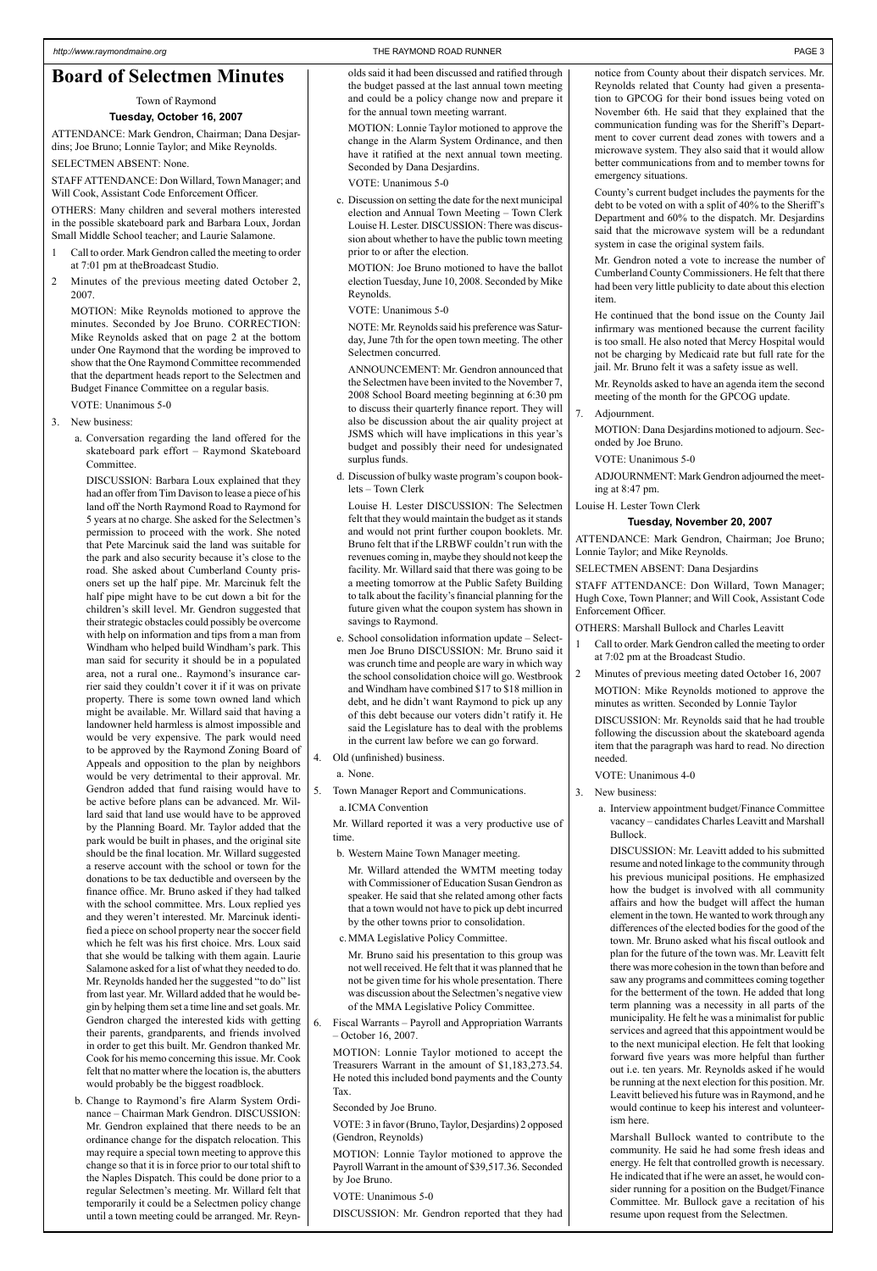#### **Board of Selectmen Minutes**

#### Town of Raymond

#### **Tuesday, October 16, 2007**

ATTENDANCE: Mark Gendron, Chairman; Dana Desjardins; Joe Bruno; Lonnie Taylor; and Mike Reynolds.

SELECTMEN ABSENT: None.

STAFF ATTENDANCE: Don Willard, Town Manager; and Will Cook, Assistant Code Enforcement Officer.

OTHERS: Many children and several mothers interested in the possible skateboard park and Barbara Loux, Jordan Small Middle School teacher; and Laurie Salamone.

- 1 Call to order. Mark Gendron called the meeting to order at 7:01 pm at theBroadcast Studio.
- 2 Minutes of the previous meeting dated October 2, 2007.

MOTION: Mike Reynolds motioned to approve the minutes. Seconded by Joe Bruno. CORRECTION: Mike Reynolds asked that on page 2 at the bottom under One Raymond that the wording be improved to show that the One Raymond Committee recommended that the department heads report to the Selectmen and Budget Finance Committee on a regular basis.

VOTE: Unanimous 5-0

- 3. New business:
	- a. Conversation regarding the land offered for the skateboard park effort – Raymond Skateboard Committee.

DISCUSSION: Barbara Loux explained that they had an offer from Tim Davison to lease a piece of his land off the North Raymond Road to Raymond for 5 years at no charge. She asked for the Selectmen's permission to proceed with the work. She noted that Pete Marcinuk said the land was suitable for the park and also security because it's close to the road. She asked about Cumberland County prisoners set up the half pipe. Mr. Marcinuk felt the half pipe might have to be cut down a bit for the children's skill level. Mr. Gendron suggested that their strategic obstacles could possibly be overcome with help on information and tips from a man from Windham who helped build Windham's park. This man said for security it should be in a populated area, not a rural one.. Raymond's insurance carrier said they couldn't cover it if it was on private property. There is some town owned land which might be available. Mr. Willard said that having a landowner held harmless is almost impossible and would be very expensive. The park would need to be approved by the Raymond Zoning Board of Appeals and opposition to the plan by neighbors would be very detrimental to their approval. Mr. Gendron added that fund raising would have to be active before plans can be advanced. Mr. Willard said that land use would have to be approved by the Planning Board. Mr. Taylor added that the park would be built in phases, and the original site should be the final location. Mr. Willard suggested a reserve account with the school or town for the donations to be tax deductible and overseen by the finance office. Mr. Bruno asked if they had talked with the school committee. Mrs. Loux replied yes and they weren't interested. Mr. Marcinuk identified a piece on school property near the soccer field which he felt was his first choice. Mrs. Loux said that she would be talking with them again. Laurie Salamone asked for a list of what they needed to do. Mr. Reynolds handed her the suggested "to do" list from last year. Mr. Willard added that he would begin by helping them set a time line and set goals. Mr. Gendron charged the interested kids with getting their parents, grandparents, and friends involved in order to get this built. Mr. Gendron thanked Mr. Cook for his memo concerning this issue. Mr. Cook felt that no matter where the location is, the abutters would probably be the biggest roadblock.

b. Change to Raymond's fire Alarm System Ordinance – Chairman Mark Gendron. DISCUSSION: Mr. Gendron explained that there needs to be an ordinance change for the dispatch relocation. This may require a special town meeting to approve this change so that it is in force prior to our total shift to the Naples Dispatch. This could be done prior to a regular Selectmen's meeting. Mr. Willard felt that temporarily it could be a Selectmen policy change until a town meeting could be arranged. Mr. Reynolds said it had been discussed and ratified through the budget passed at the last annual town meeting and could be a policy change now and prepare it for the annual town meeting warrant.

MOTION: Lonnie Taylor motioned to approve the change in the Alarm System Ordinance, and then have it ratified at the next annual town meeting. Seconded by Dana Desjardins.

VOTE: Unanimous 5-0

c. Discussion on setting the date for the next municipal election and Annual Town Meeting – Town Clerk Louise H. Lester. DISCUSSION: There was discussion about whether to have the public town meeting prior to or after the election.

- Call to order. Mark Gendron called the meeting to order at 7:02 pm at the Broadcast Studio.
- 2 Minutes of previous meeting dated October 16, 2007

MOTION: Joe Bruno motioned to have the ballot election Tuesday, June 10, 2008. Seconded by Mike Reynolds.

VOTE: Unanimous 5-0

NOTE: Mr. Reynolds said his preference was Saturday, June 7th for the open town meeting. The other Selectmen concurred.

ANNOUNCEMENT: Mr. Gendron announced that the Selectmen have been invited to the November 7, 2008 School Board meeting beginning at 6:30 pm to discuss their quarterly finance report. They will also be discussion about the air quality project at JSMS which will have implications in this year's budget and possibly their need for undesignated surplus funds.

d. Discussion of bulky waste program's coupon booklets – Town Clerk

Louise H. Lester DISCUSSION: The Selectmen felt that they would maintain the budget as it stands and would not print further coupon booklets. Mr. Bruno felt that if the LRBWF couldn't run with the revenues coming in, maybe they should not keep the facility. Mr. Willard said that there was going to be a meeting tomorrow at the Public Safety Building to talk about the facility's financial planning for the future given what the coupon system has shown in savings to Raymond.

- e. School consolidation information update Selectmen Joe Bruno DISCUSSION: Mr. Bruno said it was crunch time and people are wary in which way the school consolidation choice will go. Westbrook and Windham have combined \$17 to \$18 million in debt, and he didn't want Raymond to pick up any of this debt because our voters didn't ratify it. He said the Legislature has to deal with the problems in the current law before we can go forward.
- 4. Old (unfinished) business.
	- a. None.
- 5. Town Manager Report and Communications.
	- a.ICMA Convention

Mr. Willard reported it was a very productive use of time.

b. Western Maine Town Manager meeting.

Mr. Willard attended the WMTM meeting today with Commissioner of Education Susan Gendron as speaker. He said that she related among other facts that a town would not have to pick up debt incurred by the other towns prior to consolidation.

c.MMA Legislative Policy Committee.

Mr. Bruno said his presentation to this group was not well received. He felt that it was planned that he not be given time for his whole presentation. There was discussion about the Selectmen's negative view of the MMA Legislative Policy Committee.

6. Fiscal Warrants – Payroll and Appropriation Warrants – October 16, 2007.

MOTION: Lonnie Taylor motioned to accept the Treasurers Warrant in the amount of \$1,183,273.54. He noted this included bond payments and the County Tax.

Seconded by Joe Bruno.

VOTE: 3 in favor (Bruno, Taylor, Desjardins) 2 opposed (Gendron, Reynolds)

MOTION: Lonnie Taylor motioned to approve the Payroll Warrant in the amount of \$39,517.36. Seconded by Joe Bruno.

VOTE: Unanimous 5-0

DISCUSSION: Mr. Gendron reported that they had

notice from County about their dispatch services. Mr. Reynolds related that County had given a presentation to GPCOG for their bond issues being voted on November 6th. He said that they explained that the communication funding was for the Sheriff's Department to cover current dead zones with towers and a microwave system. They also said that it would allow better communications from and to member towns for emergency situations.

County's current budget includes the payments for the debt to be voted on with a split of 40% to the Sheriff's Department and 60% to the dispatch. Mr. Desjardins said that the microwave system will be a redundant system in case the original system fails.

Mr. Gendron noted a vote to increase the number of Cumberland County Commissioners. He felt that there had been very little publicity to date about this election item.

He continued that the bond issue on the County Jail infirmary was mentioned because the current facility is too small. He also noted that Mercy Hospital would not be charging by Medicaid rate but full rate for the jail. Mr. Bruno felt it was a safety issue as well.

Mr. Reynolds asked to have an agenda item the second meeting of the month for the GPCOG update.

7. Adjournment.

MOTION: Dana Desjardins motioned to adjourn. Seconded by Joe Bruno.

VOTE: Unanimous 5-0

ADJOURNMENT: Mark Gendron adjourned the meeting at 8:47 pm.

Louise H. Lester Town Clerk

#### **Tuesday, November 20, 2007**

ATTENDANCE: Mark Gendron, Chairman; Joe Bruno; Lonnie Taylor; and Mike Reynolds.

SELECTMEN ABSENT: Dana Desjardins

STAFF ATTENDANCE: Don Willard, Town Manager; Hugh Coxe, Town Planner; and Will Cook, Assistant Code Enforcement Officer.

OTHERS: Marshall Bullock and Charles Leavitt

MOTION: Mike Reynolds motioned to approve the minutes as written. Seconded by Lonnie Taylor

DISCUSSION: Mr. Reynolds said that he had trouble following the discussion about the skateboard agenda item that the paragraph was hard to read. No direction needed.

- VOTE: Unanimous 4-0
- 3. New business:
	- a. Interview appointment budget/Finance Committee vacancy – candidates Charles Leavitt and Marshall Bullock.

DISCUSSION: Mr. Leavitt added to his submitted resume and noted linkage to the community through his previous municipal positions. He emphasized how the budget is involved with all community affairs and how the budget will affect the human element in the town. He wanted to work through any differences of the elected bodies for the good of the town. Mr. Bruno asked what his fiscal outlook and plan for the future of the town was. Mr. Leavitt felt there was more cohesion in the town than before and saw any programs and committees coming together for the betterment of the town. He added that long term planning was a necessity in all parts of the municipality. He felt he was a minimalist for public services and agreed that this appointment would be to the next municipal election. He felt that looking forward five years was more helpful than further out i.e. ten years. Mr. Reynolds asked if he would be running at the next election for this position. Mr. Leavitt believed his future was in Raymond, and he would continue to keep his interest and volunteerism here.

Marshall Bullock wanted to contribute to the community. He said he had some fresh ideas and energy. He felt that controlled growth is necessary. He indicated that if he were an asset, he would consider running for a position on the Budget/Finance Committee. Mr. Bullock gave a recitation of his resume upon request from the Selectmen.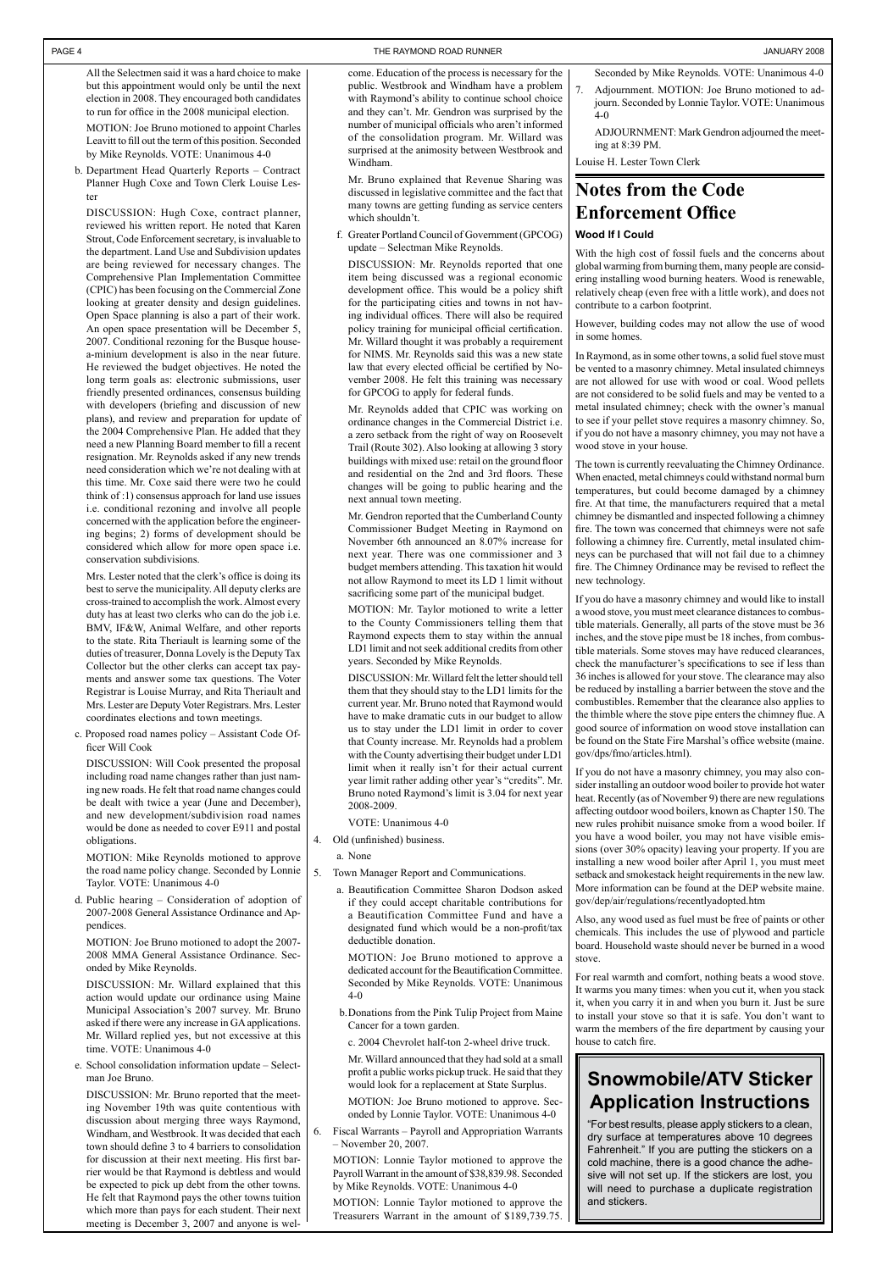### **Notes from the Code Enforcement Office**

#### **Wood If I Could**

With the high cost of fossil fuels and the concerns about global warming from burning them, many people are considering installing wood burning heaters. Wood is renewable, relatively cheap (even free with a little work), and does not contribute to a carbon footprint.

However, building codes may not allow the use of wood in some homes.

In Raymond, as in some other towns, a solid fuel stove must be vented to a masonry chimney. Metal insulated chimneys are not allowed for use with wood or coal. Wood pellets are not considered to be solid fuels and may be vented to a metal insulated chimney; check with the owner's manual to see if your pellet stove requires a masonry chimney. So, if you do not have a masonry chimney, you may not have a wood stove in your house.

The town is currently reevaluating the Chimney Ordinance. When enacted, metal chimneys could withstand normal burn temperatures, but could become damaged by a chimney fire. At that time, the manufacturers required that a metal chimney be dismantled and inspected following a chimney fire. The town was concerned that chimneys were not safe following a chimney fire. Currently, metal insulated chimneys can be purchased that will not fail due to a chimney fire. The Chimney Ordinance may be revised to reflect the new technology.

If you do have a masonry chimney and would like to install a wood stove, you must meet clearance distances to combustible materials. Generally, all parts of the stove must be 36 inches, and the stove pipe must be 18 inches, from combustible materials. Some stoves may have reduced clearances, check the manufacturer's specifications to see if less than 36 inches is allowed for your stove. The clearance may also be reduced by installing a barrier between the stove and the combustibles. Remember that the clearance also applies to the thimble where the stove pipe enters the chimney flue. A good source of information on wood stove installation can be found on the State Fire Marshal's office website (maine. gov/dps/fmo/articles.html).

If you do not have a masonry chimney, you may also consider installing an outdoor wood boiler to provide hot water heat. Recently (as of November 9) there are new regulations affecting outdoor wood boilers, known as Chapter 150. The new rules prohibit nuisance smoke from a wood boiler. If you have a wood boiler, you may not have visible emissions (over 30% opacity) leaving your property. If you are installing a new wood boiler after April 1, you must meet setback and smokestack height requirements in the new law. More information can be found at the DEP website maine. gov/dep/air/regulations/recentlyadopted.htm

Also, any wood used as fuel must be free of paints or other chemicals. This includes the use of plywood and particle board. Household waste should never be burned in a wood stove.

For real warmth and comfort, nothing beats a wood stove. It warms you many times: when you cut it, when you stack it, when you carry it in and when you burn it. Just be sure to install your stove so that it is safe. You don't want to warm the members of the fire department by causing your house to catch fire.

### **Snowmobile/ATV Sticker Application Instructions**

"For best results, please apply stickers to a clean, dry surface at temperatures above 10 degrees Fahrenheit." If you are putting the stickers on a cold machine, there is a good chance the adhesive will not set up. If the stickers are lost, you will need to purchase a duplicate registration and stickers.

#### PAGE 4 THE RAYMOND ROAD RUNNER AND THE RAYMOND ROAD RUNNER AND THE RAYMOND ROAD RUNNER AND THE RAYMOND ROAD RUNNER

All the Selectmen said it was a hard choice to make but this appointment would only be until the next election in 2008. They encouraged both candidates to run for office in the 2008 municipal election.

MOTION: Joe Bruno motioned to appoint Charles Leavitt to fill out the term of this position. Seconded by Mike Reynolds. VOTE: Unanimous 4-0

b. Department Head Quarterly Reports – Contract Planner Hugh Coxe and Town Clerk Louise Lester

DISCUSSION: Hugh Coxe, contract planner, reviewed his written report. He noted that Karen Strout, Code Enforcement secretary, is invaluable to the department. Land Use and Subdivision updates are being reviewed for necessary changes. The Comprehensive Plan Implementation Committee (CPIC) has been focusing on the Commercial Zone looking at greater density and design guidelines. Open Space planning is also a part of their work. An open space presentation will be December 5, 2007. Conditional rezoning for the Busque housea-minium development is also in the near future. He reviewed the budget objectives. He noted the long term goals as: electronic submissions, user friendly presented ordinances, consensus building with developers (briefing and discussion of new plans), and review and preparation for update of the 2004 Comprehensive Plan. He added that they need a new Planning Board member to fill a recent resignation. Mr. Reynolds asked if any new trends need consideration which we're not dealing with at this time. Mr. Coxe said there were two he could think of :1) consensus approach for land use issues i.e. conditional rezoning and involve all people concerned with the application before the engineering begins; 2) forms of development should be considered which allow for more open space i.e. conservation subdivisions.

Mrs. Lester noted that the clerk's office is doing its best to serve the municipality. All deputy clerks are cross-trained to accomplish the work. Almost every duty has at least two clerks who can do the job i.e. BMV, IF&W, Animal Welfare, and other reports to the state. Rita Theriault is learning some of the duties of treasurer, Donna Lovely is the Deputy Tax Collector but the other clerks can accept tax payments and answer some tax questions. The Voter Registrar is Louise Murray, and Rita Theriault and Mrs. Lester are Deputy Voter Registrars. Mrs. Lester coordinates elections and town meetings.

c. Proposed road names policy – Assistant Code Officer Will Cook

DISCUSSION: Will Cook presented the proposal including road name changes rather than just naming new roads. He felt that road name changes could be dealt with twice a year (June and December), and new development/subdivision road names would be done as needed to cover E911 and postal obligations.

MOTION: Mike Reynolds motioned to approve the road name policy change. Seconded by Lonnie Taylor. VOTE: Unanimous 4-0

d. Public hearing – Consideration of adoption of 2007-2008 General Assistance Ordinance and Appendices.

MOTION: Joe Bruno motioned to adopt the 2007- 2008 MMA General Assistance Ordinance. Sec-

onded by Mike Reynolds.

DISCUSSION: Mr. Willard explained that this action would update our ordinance using Maine Municipal Association's 2007 survey. Mr. Bruno asked if there were any increase in GA applications. Mr. Willard replied yes, but not excessive at this time. VOTE: Unanimous 4-0

e. School consolidation information update – Selectman Joe Bruno.

DISCUSSION: Mr. Bruno reported that the meeting November 19th was quite contentious with discussion about merging three ways Raymond, Windham, and Westbrook. It was decided that each town should define 3 to 4 barriers to consolidation for discussion at their next meeting. His first barrier would be that Raymond is debtless and would be expected to pick up debt from the other towns. He felt that Raymond pays the other towns tuition which more than pays for each student. Their next meeting is December 3, 2007 and anyone is welcome. Education of the process is necessary for the public. Westbrook and Windham have a problem with Raymond's ability to continue school choice and they can't. Mr. Gendron was surprised by the number of municipal officials who aren't informed of the consolidation program. Mr. Willard was surprised at the animosity between Westbrook and Windham.

Mr. Bruno explained that Revenue Sharing was discussed in legislative committee and the fact that many towns are getting funding as service centers which shouldn't.

f. Greater Portland Council of Government (GPCOG) update – Selectman Mike Reynolds.

DISCUSSION: Mr. Reynolds reported that one item being discussed was a regional economic development office. This would be a policy shift for the participating cities and towns in not having individual offices. There will also be required policy training for municipal official certification. Mr. Willard thought it was probably a requirement for NIMS. Mr. Reynolds said this was a new state law that every elected official be certified by November 2008. He felt this training was necessary for GPCOG to apply for federal funds.

Mr. Reynolds added that CPIC was working on ordinance changes in the Commercial District i.e. a zero setback from the right of way on Roosevelt Trail (Route 302). Also looking at allowing 3 story buildings with mixed use: retail on the ground floor and residential on the 2nd and 3rd floors. These changes will be going to public hearing and the next annual town meeting.

Mr. Gendron reported that the Cumberland County Commissioner Budget Meeting in Raymond on November 6th announced an 8.07% increase for next year. There was one commissioner and 3 budget members attending. This taxation hit would not allow Raymond to meet its LD 1 limit without sacrificing some part of the municipal budget.

MOTION: Mr. Taylor motioned to write a letter to the County Commissioners telling them that Raymond expects them to stay within the annual LD1 limit and not seek additional credits from other years. Seconded by Mike Reynolds.

DISCUSSION: Mr. Willard felt the letter should tell them that they should stay to the LD1 limits for the current year. Mr. Bruno noted that Raymond would have to make dramatic cuts in our budget to allow us to stay under the LD1 limit in order to cover that County increase. Mr. Reynolds had a problem with the County advertising their budget under LD1 limit when it really isn't for their actual current year limit rather adding other year's "credits". Mr. Bruno noted Raymond's limit is 3.04 for next year 2008-2009.

VOTE: Unanimous 4-0

- 4. Old (unfinished) business.
	- a. None
- 5. Town Manager Report and Communications.
	- a. Beautification Committee Sharon Dodson asked if they could accept charitable contributions for a Beautification Committee Fund and have a designated fund which would be a non-profit/tax deductible donation.

MOTION: Joe Bruno motioned to approve a

dedicated account for the Beautification Committee. Seconded by Mike Reynolds. VOTE: Unanimous 4-0

 b.Donations from the Pink Tulip Project from Maine Cancer for a town garden.

c. 2004 Chevrolet half-ton 2-wheel drive truck.

Mr. Willard announced that they had sold at a small profit a public works pickup truck. He said that they would look for a replacement at State Surplus.

MOTION: Joe Bruno motioned to approve. Seconded by Lonnie Taylor. VOTE: Unanimous 4-0

6. Fiscal Warrants – Payroll and Appropriation Warrants – November 20, 2007.

MOTION: Lonnie Taylor motioned to approve the Payroll Warrant in the amount of \$38,839.98. Seconded by Mike Reynolds. VOTE: Unanimous 4-0

MOTION: Lonnie Taylor motioned to approve the Treasurers Warrant in the amount of \$189,739.75.

Seconded by Mike Reynolds. VOTE: Unanimous 4-0 Adjournment. MOTION: Joe Bruno motioned to adjourn. Seconded by Lonnie Taylor. VOTE: Unanimous 4-0

ADJOURNMENT: Mark Gendron adjourned the meeting at 8:39 PM.

Louise H. Lester Town Clerk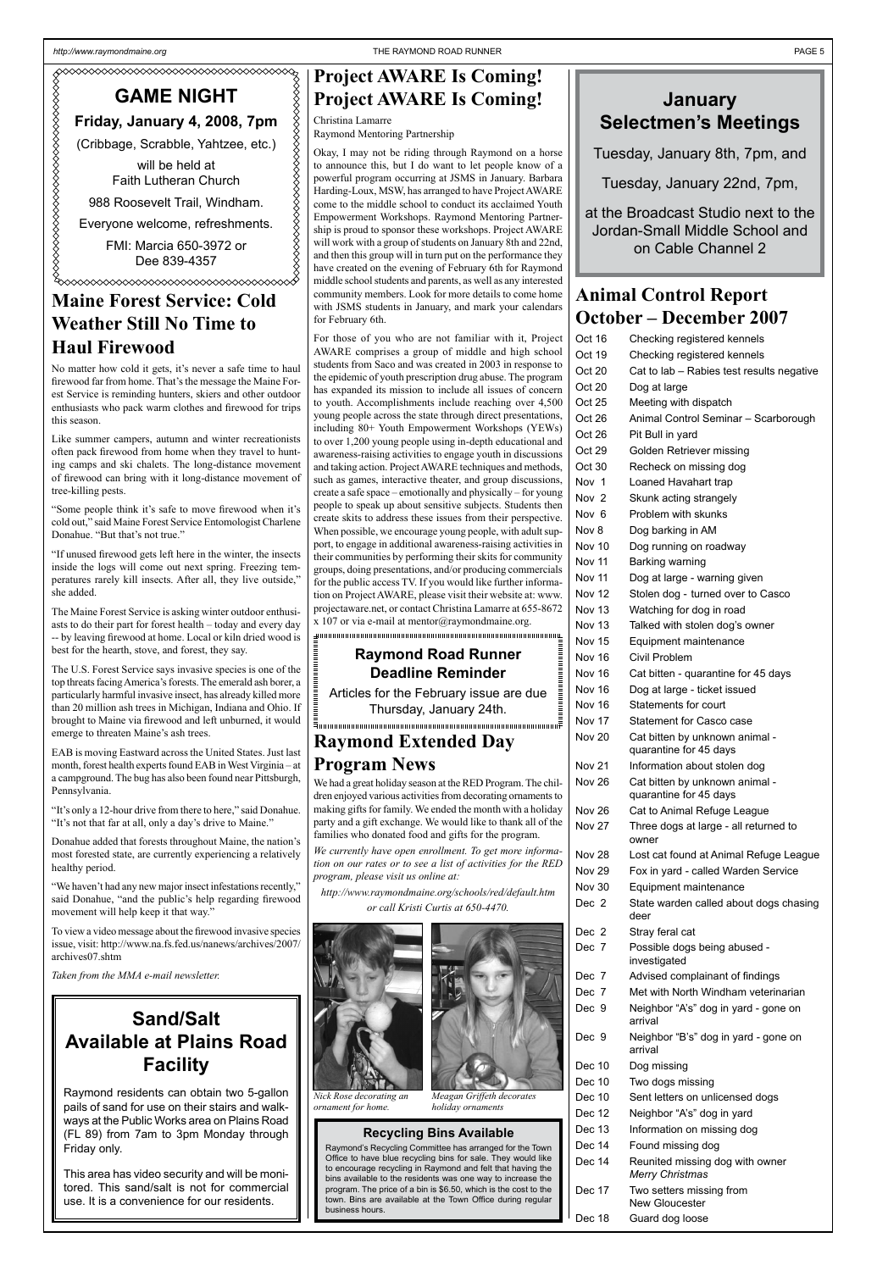### **Animal Control Report October – December 2007**

| Oct 16        | Checking registered kennels                              |
|---------------|----------------------------------------------------------|
| Oct 19        | Checking registered kennels                              |
| Oct 20        | Cat to lab - Rabies test results negative                |
| Oct 20        | Dog at large                                             |
| Oct 25        | Meeting with dispatch                                    |
| Oct 26        | Animal Control Seminar - Scarborough                     |
| Oct 26        | Pit Bull in yard                                         |
| Oct 29        | Golden Retriever missing                                 |
| Oct 30        | Recheck on missing dog                                   |
| Nov 1         | Loaned Havahart trap                                     |
| Nov 2         | Skunk acting strangely                                   |
| Nov 6         | Problem with skunks                                      |
| Nov 8         | Dog barking in AM                                        |
| Nov 10        | Dog running on roadway                                   |
| Nov 11        | Barking warning                                          |
| <b>Nov 11</b> | Dog at large - warning given                             |
| <b>Nov 12</b> | Stolen dog - turned over to Casco                        |
| Nov 13        | Watching for dog in road                                 |
| Nov 13        | Talked with stolen dog's owner                           |
| <b>Nov 15</b> | Equipment maintenance                                    |
| Nov 16        | Civil Problem                                            |
| Nov 16        | Cat bitten - quarantine for 45 days                      |
| Nov 16        | Dog at large - ticket issued                             |
| Nov 16        | Statements for court                                     |
| <b>Nov 17</b> | <b>Statement for Casco case</b>                          |
| <b>Nov 20</b> | Cat bitten by unknown animal -<br>quarantine for 45 days |
| <b>Nov 21</b> | Information about stolen dog                             |
| <b>Nov 26</b> | Cat bitten by unknown animal -<br>quarantine for 45 days |
| Nov 26        | Cat to Animal Refuge League                              |
| <b>Nov 27</b> | Three dogs at large - all returned to<br>owner           |
| Nov 28        | Lost cat found at Animal Refuge League                   |
| Nov 29        | Fox in yard - called Warden Service                      |
| Nov 30        | Equipment maintenance                                    |
| Dec 2         | State warden called about dogs chasing<br>deer           |
| Dec 2         | Stray feral cat                                          |
| Dec 7         | Possible dogs being abused -                             |

- Dec 10 Two dogs missing
- Dec 10 Sent letters on unlicensed dogs
- Dec 12 Neighbor "A's" dog in yard
- Dec 13 Information on missing dog
- Dec 14 Found missing dog
- Dec 14 Reunited missing dog with owner *Merry Christmas*
- Dec 17 Two setters missing from New Gloucester

Dec 18 Guard dog loose

investigated

- Dec 7 Advised complainant of findings
- Dec 7 Met with North Windham veterinarian
- Dec 9 Neighbor "A's" dog in yard gone on arrival
- Dec 9 Neighbor "B's" dog in yard gone on arrival

Dec 10 Dog missing

#### **Recycling Bins Available**

Raymond's Recycling Committee has arranged for the Town Office to have blue recycling bins for sale. They would like to encourage recycling in Raymond and felt that having the bins available to the residents was one way to increase the program. The price of a bin is \$6.50, which is the cost to the town. Bins are available at the Town Office during regular business hours.

### **Maine Forest Service: Cold Weather Still No Time to Haul Firewood**

No matter how cold it gets, it's never a safe time to haul firewood far from home. That's the message the Maine Forest Service is reminding hunters, skiers and other outdoor enthusiasts who pack warm clothes and firewood for trips this season.

For those of you who are not familiar with it, Project AWARE comprises a group of middle and high school students from Saco and was created in 2003 in response to the epidemic of youth prescription drug abuse. The program has expanded its mission to include all issues of concern to youth. Accomplishments include reaching over 4,500 young people across the state through direct presentations, including 80+ Youth Empowerment Workshops (YEWs) to over 1,200 young people using in-depth educational and awareness-raising activities to engage youth in discussions and taking action. Project AWARE techniques and methods, such as games, interactive theater, and group discussions, create a safe space – emotionally and physically – for young people to speak up about sensitive subjects. Students then create skits to address these issues from their perspective. When possible, we encourage young people, with adult support, to engage in additional awareness-raising activities in their communities by performing their skits for community groups, doing presentations, and/or producing commercials for the public access TV. If you would like further information on Project AWARE, please visit their website at: www. projectaware.net, or contact Christina Lamarre at 655-8672  $x$  107 or via e-mail at mentor@raymondmaine.org.

Like summer campers, autumn and winter recreationists often pack firewood from home when they travel to hunting camps and ski chalets. The long-distance movement of firewood can bring with it long-distance movement of tree-killing pests.

"Some people think it's safe to move firewood when it's cold out," said Maine Forest Service Entomologist Charlene Donahue. "But that's not true."

"If unused firewood gets left here in the winter, the insects inside the logs will come out next spring. Freezing temperatures rarely kill insects. After all, they live outside," she added.

The Maine Forest Service is asking winter outdoor enthusiasts to do their part for forest health – today and every day -- by leaving firewood at home. Local or kiln dried wood is best for the hearth, stove, and forest, they say.

#### Formanismus and community and community and community and community and community and community and community of **Raymond Road Runner**

The U.S. Forest Service says invasive species is one of the top threats facing America's forests. The emerald ash borer, a particularly harmful invasive insect, has already killed more than 20 million ash trees in Michigan, Indiana and Ohio. If brought to Maine via firewood and left unburned, it would emerge to threaten Maine's ash trees.

EAB is moving Eastward across the United States. Just last month, forest health experts found EAB in West Virginia – at a campground. The bug has also been found near Pittsburgh, Pennsylvania.

"It's only a 12-hour drive from there to here," said Donahue. "It's not that far at all, only a day's drive to Maine."

Donahue added that forests throughout Maine, the nation's most forested state, are currently experiencing a relatively healthy period.

"We haven't had any new major insect infestations recently," said Donahue, "and the public's help regarding firewood movement will help keep it that way."

To view a video message about the firewood invasive species issue, visit: http://www.na.fs.fed.us/nanews/archives/2007/ archives07.shtm

*Taken from the MMA e-mail newsletter.*

## **Project AWARE Is Coming! Project AWARE Is Coming!**

Christina Lamarre Raymond Mentoring Partnership

Okay, I may not be riding through Raymond on a horse to announce this, but I do want to let people know of a powerful program occurring at JSMS in January. Barbara Harding-Loux, MSW, has arranged to have Project AWARE come to the middle school to conduct its acclaimed Youth Empowerment Workshops. Raymond Mentoring Partnership is proud to sponsor these workshops. Project AWARE will work with a group of students on January 8th and 22nd, and then this group will in turn put on the performance they have created on the evening of February 6th for Raymond middle school students and parents, as well as any interested community members. Look for more details to come home with JSMS students in January, and mark your calendars for February 6th.

# **Deadline Reminder**

Articles for the February issue are due Thursday, January 24th.

# **January Selectmen's Meetings**

Tuesday, January 8th, 7pm, and

Tuesday, January 22nd, 7pm,

at the Broadcast Studio next to the Jordan-Small Middle School and on Cable Channel 2

# **GAME NIGHT**

#### **Friday, January 4, 2008, 7pm**

(Cribbage, Scrabble, Yahtzee, etc.)

will be held at Faith Lutheran Church

988 Roosevelt Trail, Windham.

Everyone welcome, refreshments.

FMI: Marcia 650-3972 or Dee 839-4357

# **Sand/Salt Available at Plains Road Facility**

Raymond residents can obtain two 5-gallon pails of sand for use on their stairs and walkways at the Public Works area on Plains Road (FL 89) from 7am to 3pm Monday through Friday only.

This area has video security and will be monitored. This sand/salt is not for commercial use. It is a convenience for our residents.

### **Raymond Extended Day Program News**

We had a great holiday season at the RED Program. The children enjoyed various activities from decorating ornaments to making gifts for family. We ended the month with a holiday party and a gift exchange. We would like to thank all of the families who donated food and gifts for the program.

*We currently have open enrollment. To get more information on our rates or to see a list of activities for the RED program, please visit us online at:*

*http://www.raymondmaine.org/schools/red/default.htm or call Kristi Curtis at 650-4470.*





*Meagan Griffeth decorates holiday ornaments*

*Nick Rose decorating an ornament for home.*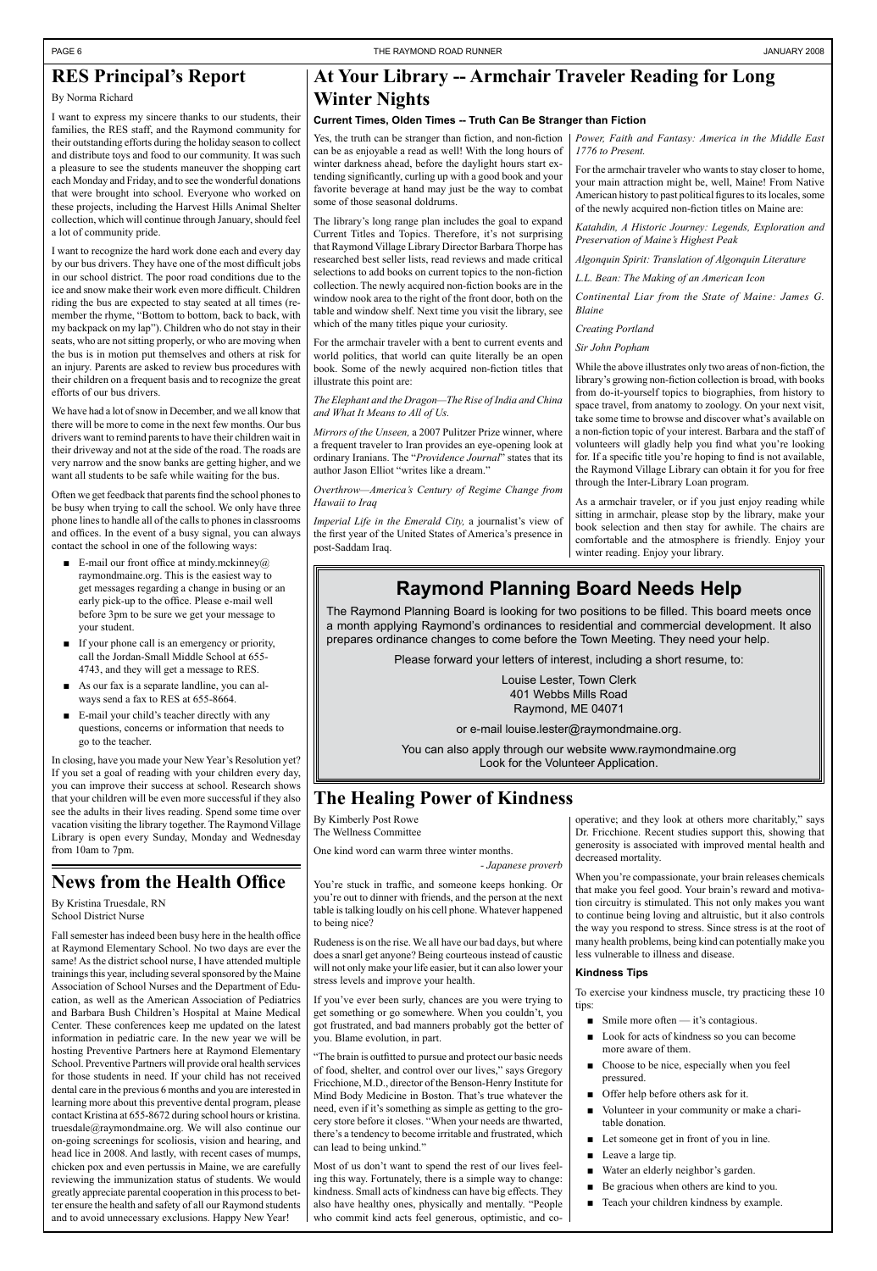# **News from the Health Office**

By Kristina Truesdale, RN School District Nurse

Fall semester has indeed been busy here in the health office at Raymond Elementary School. No two days are ever the same! As the district school nurse, I have attended multiple trainings this year, including several sponsored by the Maine Association of School Nurses and the Department of Education, as well as the American Association of Pediatrics and Barbara Bush Children's Hospital at Maine Medical Center. These conferences keep me updated on the latest information in pediatric care. In the new year we will be hosting Preventive Partners here at Raymond Elementary School. Preventive Partners will provide oral health services for those students in need. If your child has not received dental care in the previous 6 months and you are interested in learning more about this preventive dental program, please contact Kristina at 655-8672 during school hours or kristina. truesdale@raymondmaine.org. We will also continue our on-going screenings for scoliosis, vision and hearing, and head lice in 2008. And lastly, with recent cases of mumps, chicken pox and even pertussis in Maine, we are carefully reviewing the immunization status of students. We would greatly appreciate parental cooperation in this process to better ensure the health and safety of all our Raymond students and to avoid unnecessary exclusions. Happy New Year!

### **At Your Library -- Armchair Traveler Reading for Long Winter Nights**

#### **Current Times, Olden Times -- Truth Can Be Stranger than Fiction**

### **RES Principal's Report**

By Norma Richard

I want to express my sincere thanks to our students, their families, the RES staff, and the Raymond community for their outstanding efforts during the holiday season to collect and distribute toys and food to our community. It was such a pleasure to see the students maneuver the shopping cart each Monday and Friday, and to see the wonderful donations that were brought into school. Everyone who worked on these projects, including the Harvest Hills Animal Shelter collection, which will continue through January, should feel a lot of community pride.

- E-mail our front office at mindy.mckinney@ raymondmaine.org. This is the easiest way to get messages regarding a change in busing or an early pick-up to the office. Please e-mail well before 3pm to be sure we get your message to your student.
- If your phone call is an emergency or priority, call the Jordan-Small Middle School at 655- 4743, and they will get a message to RES.
- As our fax is a separate landline, you can always send a fax to RES at 655-8664.
- E-mail your child's teacher directly with any questions, concerns or information that needs to go to the teacher.

I want to recognize the hard work done each and every day by our bus drivers. They have one of the most difficult jobs in our school district. The poor road conditions due to the ice and snow make their work even more difficult. Children riding the bus are expected to stay seated at all times (remember the rhyme, "Bottom to bottom, back to back, with my backpack on my lap"). Children who do not stay in their seats, who are not sitting properly, or who are moving when the bus is in motion put themselves and others at risk for an injury. Parents are asked to review bus procedures with their children on a frequent basis and to recognize the great efforts of our bus drivers.

We have had a lot of snow in December, and we all know that there will be more to come in the next few months. Our bus drivers want to remind parents to have their children wait in their driveway and not at the side of the road. The roads are very narrow and the snow banks are getting higher, and we want all students to be safe while waiting for the bus.

Often we get feedback that parents find the school phones to be busy when trying to call the school. We only have three phone lines to handle all of the calls to phones in classrooms and offices. In the event of a busy signal, you can always contact the school in one of the following ways:

In closing, have you made your New Year's Resolution yet? If you set a goal of reading with your children every day, you can improve their success at school. Research shows that your children will be even more successful if they also see the adults in their lives reading. Spend some time over vacation visiting the library together. The Raymond Village Library is open every Sunday, Monday and Wednesday from 10am to 7pm.

# **The Healing Power of Kindness**

By Kimberly Post Rowe The Wellness Committee

One kind word can warm three winter months.

*- Japanese proverb*

You're stuck in traffic, and someone keeps honking. Or you're out to dinner with friends, and the person at the next table is talking loudly on his cell phone. Whatever happened to being nice?

Rudeness is on the rise. We all have our bad days, but where does a snarl get anyone? Being courteous instead of caustic will not only make your life easier, but it can also lower your stress levels and improve your health.

If you've ever been surly, chances are you were trying to get something or go somewhere. When you couldn't, you got frustrated, and bad manners probably got the better of you. Blame evolution, in part.

"The brain is outfitted to pursue and protect our basic needs of food, shelter, and control over our lives," says Gregory Fricchione, M.D., director of the Benson-Henry Institute for Mind Body Medicine in Boston. That's true whatever the need, even if it's something as simple as getting to the grocery store before it closes. "When your needs are thwarted, there's a tendency to become irritable and frustrated, which can lead to being unkind."

Most of us don't want to spend the rest of our lives feeling this way. Fortunately, there is a simple way to change: kindness. Small acts of kindness can have big effects. They also have healthy ones, physically and mentally. "People who commit kind acts feel generous, optimistic, and co*Power, Faith and Fantasy: America in the Middle East 1776 to Present.*

For the armchair traveler who wants to stay closer to home, your main attraction might be, well, Maine! From Native American history to past political figures to its locales, some of the newly acquired non-fiction titles on Maine are:

*Katahdin, A Historic Journey: Legends, Exploration and Preservation of Maine's Highest Peak*

*Algonquin Spirit: Translation of Algonquin Literature*

*L.L. Bean: The Making of an American Icon*

*Continental Liar from the State of Maine: James G. Blaine*

*Creating Portland*

*Sir John Popham*

While the above illustrates only two areas of non-fiction, the library's growing non-fiction collection is broad, with books from do-it-yourself topics to biographies, from history to space travel, from anatomy to zoology. On your next visit, take some time to browse and discover what's available on a non-fiction topic of your interest. Barbara and the staff of volunteers will gladly help you find what you're looking for. If a specific title you're hoping to find is not available, the Raymond Village Library can obtain it for you for free through the Inter-Library Loan program.

As a armchair traveler, or if you just enjoy reading while sitting in armchair, please stop by the library, make your book selection and then stay for awhile. The chairs are comfortable and the atmosphere is friendly. Enjoy your winter reading. Enjoy your library.

Yes, the truth can be stranger than fiction, and non-fiction can be as enjoyable a read as well! With the long hours of winter darkness ahead, before the daylight hours start extending significantly, curling up with a good book and your favorite beverage at hand may just be the way to combat some of those seasonal doldrums.

The library's long range plan includes the goal to expand Current Titles and Topics. Therefore, it's not surprising that Raymond Village Library Director Barbara Thorpe has researched best seller lists, read reviews and made critical selections to add books on current topics to the non-fiction collection. The newly acquired non-fiction books are in the window nook area to the right of the front door, both on the table and window shelf. Next time you visit the library, see which of the many titles pique your curiosity.

For the armchair traveler with a bent to current events and world politics, that world can quite literally be an open book. Some of the newly acquired non-fiction titles that illustrate this point are:

*The Elephant and the Dragon—The Rise of India and China and What It Means to All of Us.*

*Mirrors of the Unseen,* a 2007 Pulitzer Prize winner, where a frequent traveler to Iran provides an eye-opening look at ordinary Iranians. The "*Providence Journal*" states that its author Jason Elliot "writes like a dream."

*Overthrow—America's Century of Regime Change from Hawaii to Iraq*

*Imperial Life in the Emerald City,* a journalist's view of the first year of the United States of America's presence in post-Saddam Iraq.

> operative; and they look at others more charitably," says Dr. Fricchione. Recent studies support this, showing that generosity is associated with improved mental health and decreased mortality.

> When you're compassionate, your brain releases chemicals that make you feel good. Your brain's reward and motivation circuitry is stimulated. This not only makes you want to continue being loving and altruistic, but it also controls the way you respond to stress. Since stress is at the root of many health problems, being kind can potentially make you less vulnerable to illness and disease.

#### **Kindness Tips**

To exercise your kindness muscle, try practicing these 10 tips:

- Smile more often it's contagious.
- Look for acts of kindness so you can become more aware of them.
- Choose to be nice, especially when you feel pressured. ■
- Offer help before others ask for it.
- Volunteer in your community or make a charitable donation. ■
- Let someone get in front of you in line.
- Leave a large tip. ■
- Water an elderly neighbor's garden. ■
- Be gracious when others are kind to you. ■
- Teach your children kindness by example.

# **Raymond Planning Board Needs Help**

The Raymond Planning Board is looking for two positions to be filled. This board meets once a month applying Raymond's ordinances to residential and commercial development. It also prepares ordinance changes to come before the Town Meeting. They need your help.

Please forward your letters of interest, including a short resume, to:

Louise Lester, Town Clerk 401 Webbs Mills Road Raymond, ME 04071

or e-mail louise.lester@raymondmaine.org.

You can also apply through our website www.raymondmaine.org Look for the Volunteer Application.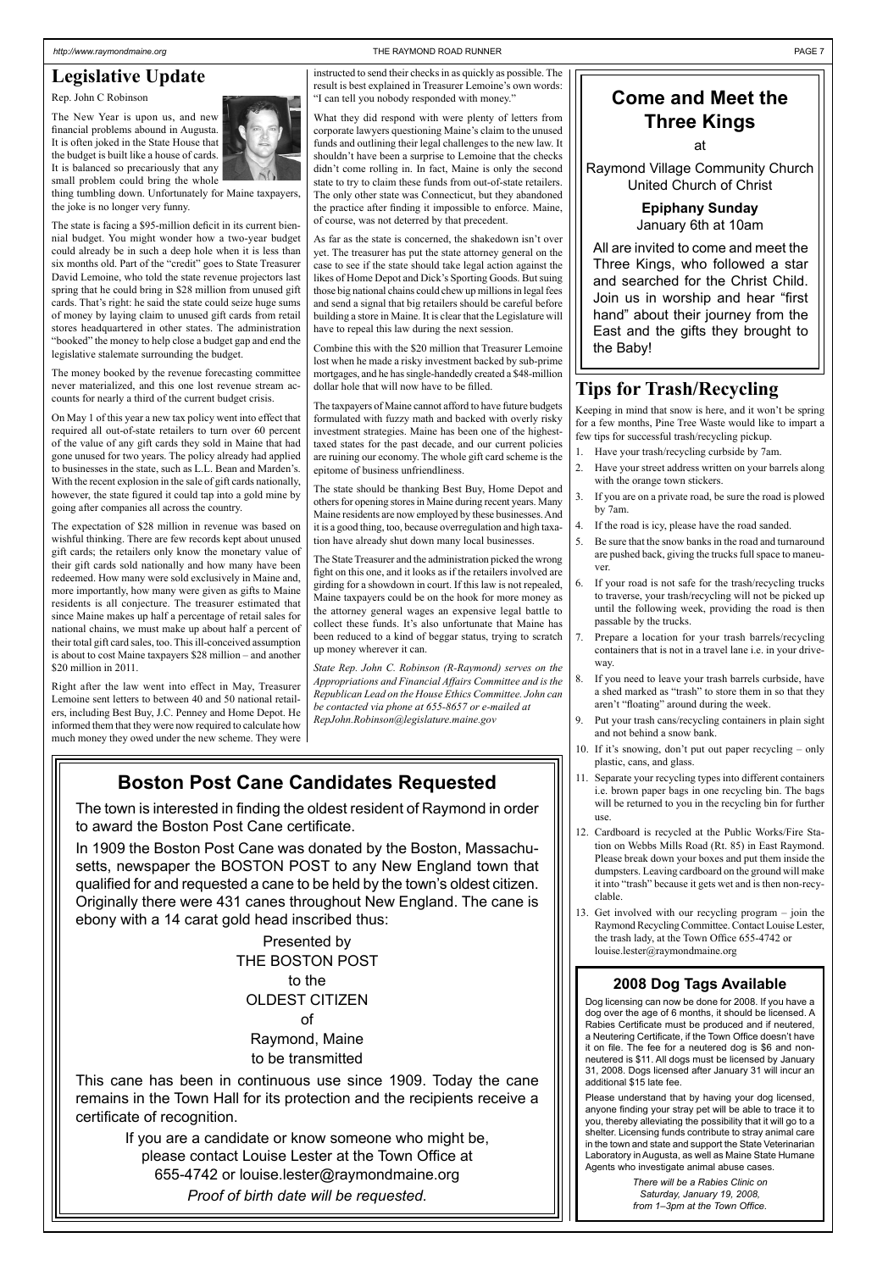### **Boston Post Cane Candidates Requested**

The town is interested in finding the oldest resident of Raymond in order to award the Boston Post Cane certificate.

In 1909 the Boston Post Cane was donated by the Boston, Massachusetts, newspaper the BOSTON POST to any New England town that qualified for and requested a cane to be held by the town's oldest citizen. Originally there were 431 canes throughout New England. The cane is ebony with a 14 carat gold head inscribed thus:

> Presented by THE BOSTON POST

to the OLDEST CITIZEN of Raymond, Maine to be transmitted

This cane has been in continuous use since 1909. Today the cane remains in the Town Hall for its protection and the recipients receive a certificate of recognition.

> If you are a candidate or know someone who might be, please contact Louise Lester at the Town Office at 655-4742 or louise.lester@raymondmaine.org

> > *Proof of birth date will be requested.*

### **Legislative Update**

Rep. John C Robinson

The New Year is upon us, and new financial problems abound in Augusta. It is often joked in the State House that the budget is built like a house of cards. It is balanced so precariously that any small problem could bring the whole



thing tumbling down. Unfortunately for Maine taxpayers, the joke is no longer very funny.

The state is facing a \$95-million deficit in its current biennial budget. You might wonder how a two-year budget could already be in such a deep hole when it is less than six months old. Part of the "credit" goes to State Treasurer David Lemoine, who told the state revenue projectors last spring that he could bring in \$28 million from unused gift cards. That's right: he said the state could seize huge sums of money by laying claim to unused gift cards from retail stores headquartered in other states. The administration "booked" the money to help close a budget gap and end the legislative stalemate surrounding the budget.

The money booked by the revenue forecasting committee never materialized, and this one lost revenue stream accounts for nearly a third of the current budget crisis.

On May 1 of this year a new tax policy went into effect that required all out-of-state retailers to turn over 60 percent of the value of any gift cards they sold in Maine that had gone unused for two years. The policy already had applied to businesses in the state, such as L.L. Bean and Marden's. With the recent explosion in the sale of gift cards nationally, however, the state figured it could tap into a gold mine by going after companies all across the country.

The expectation of \$28 million in revenue was based on wishful thinking. There are few records kept about unused gift cards; the retailers only know the monetary value of their gift cards sold nationally and how many have been redeemed. How many were sold exclusively in Maine and, more importantly, how many were given as gifts to Maine residents is all conjecture. The treasurer estimated that since Maine makes up half a percentage of retail sales for national chains, we must make up about half a percent of their total gift card sales, too. This ill-conceived assumption is about to cost Maine taxpayers \$28 million – and another \$20 million in 2011.

Right after the law went into effect in May, Treasurer Lemoine sent letters to between 40 and 50 national retailers, including Best Buy, J.C. Penney and Home Depot. He informed them that they were now required to calculate how much money they owed under the new scheme. They were

# **Come and Meet the Three Kings**

at

Raymond Village Community Church United Church of Christ

> **Epiphany Sunday** January 6th at 10am

All are invited to come and meet the Three Kings, who followed a star and searched for the Christ Child. Join us in worship and hear "first hand" about their journey from the East and the gifts they brought to the Baby!

instructed to send their checks in as quickly as possible. The result is best explained in Treasurer Lemoine's own words: "I can tell you nobody responded with money."

What they did respond with were plenty of letters from corporate lawyers questioning Maine's claim to the unused funds and outlining their legal challenges to the new law. It shouldn't have been a surprise to Lemoine that the checks didn't come rolling in. In fact, Maine is only the second state to try to claim these funds from out-of-state retailers. The only other state was Connecticut, but they abandoned the practice after finding it impossible to enforce. Maine, of course, was not deterred by that precedent.

As far as the state is concerned, the shakedown isn't over yet. The treasurer has put the state attorney general on the case to see if the state should take legal action against the likes of Home Depot and Dick's Sporting Goods. But suing those big national chains could chew up millions in legal fees and send a signal that big retailers should be careful before building a store in Maine. It is clear that the Legislature will have to repeal this law during the next session.

Combine this with the \$20 million that Treasurer Lemoine lost when he made a risky investment backed by sub-prime mortgages, and he has single-handedly created a \$48-million dollar hole that will now have to be filled.

The taxpayers of Maine cannot afford to have future budgets formulated with fuzzy math and backed with overly risky investment strategies. Maine has been one of the highesttaxed states for the past decade, and our current policies are ruining our economy. The whole gift card scheme is the epitome of business unfriendliness.

The state should be thanking Best Buy, Home Depot and others for opening stores in Maine during recent years. Many Maine residents are now employed by these businesses. And it is a good thing, too, because overregulation and high taxation have already shut down many local businesses.

The State Treasurer and the administration picked the wrong fight on this one, and it looks as if the retailers involved are girding for a showdown in court. If this law is not repealed, Maine taxpayers could be on the hook for more money as the attorney general wages an expensive legal battle to collect these funds. It's also unfortunate that Maine has been reduced to a kind of beggar status, trying to scratch up money wherever it can.

*State Rep. John C. Robinson (R-Raymond) serves on the Appropriations and Financial Affairs Committee and is the Republican Lead on the House Ethics Committee. John can be contacted via phone at 655-8657 or e-mailed at RepJohn.Robinson@legislature.maine.gov*

### **Tips for Trash/Recycling**

Keeping in mind that snow is here, and it won't be spring for a few months, Pine Tree Waste would like to impart a few tips for successful trash/recycling pickup.

- 1. Have your trash/recycling curbside by 7am.
- Have your street address written on your barrels along with the orange town stickers.
- 3. If you are on a private road, be sure the road is plowed by 7am.
- 4. If the road is icy, please have the road sanded.
- 5. Be sure that the snow banks in the road and turnaround are pushed back, giving the trucks full space to maneuver.
- 6. If your road is not safe for the trash/recycling trucks to traverse, your trash/recycling will not be picked up until the following week, providing the road is then passable by the trucks.
- 7. Prepare a location for your trash barrels/recycling containers that is not in a travel lane i.e. in your driveway.
- If you need to leave your trash barrels curbside, have a shed marked as "trash" to store them in so that they aren't "floating" around during the week.
- 9. Put your trash cans/recycling containers in plain sight and not behind a snow bank.
- 10. If it's snowing, don't put out paper recycling only plastic, cans, and glass.
- 11. Separate your recycling types into different containers i.e. brown paper bags in one recycling bin. The bags will be returned to you in the recycling bin for further use.
- 12. Cardboard is recycled at the Public Works/Fire Station on Webbs Mills Road (Rt. 85) in East Raymond. Please break down your boxes and put them inside the dumpsters. Leaving cardboard on the ground will make it into "trash" because it gets wet and is then non-recyclable.
- 13. Get involved with our recycling program join the Raymond Recycling Committee. Contact Louise Lester, the trash lady, at the Town Office 655-4742 or louise.lester@raymondmaine.org

#### **2008 Dog Tags Available**

Dog licensing can now be done for 2008. If you have a dog over the age of 6 months, it should be licensed. A Rabies Certificate must be produced and if neutered, a Neutering Certificate, if the Town Office doesn't have it on file. The fee for a neutered dog is \$6 and nonneutered is \$11. All dogs must be licensed by January 31, 2008. Dogs licensed after January 31 will incur an additional \$15 late fee.

Please understand that by having your dog licensed, anyone finding your stray pet will be able to trace it to you, thereby alleviating the possibility that it will go to a shelter. Licensing funds contribute to stray animal care in the town and state and support the State Veterinarian Laboratory in Augusta, as well as Maine State Humane Agents who investigate animal abuse cases.

> *There will be a Rabies Clinic on Saturday, January 19, 2008, from 1–3pm at the Town Office.*